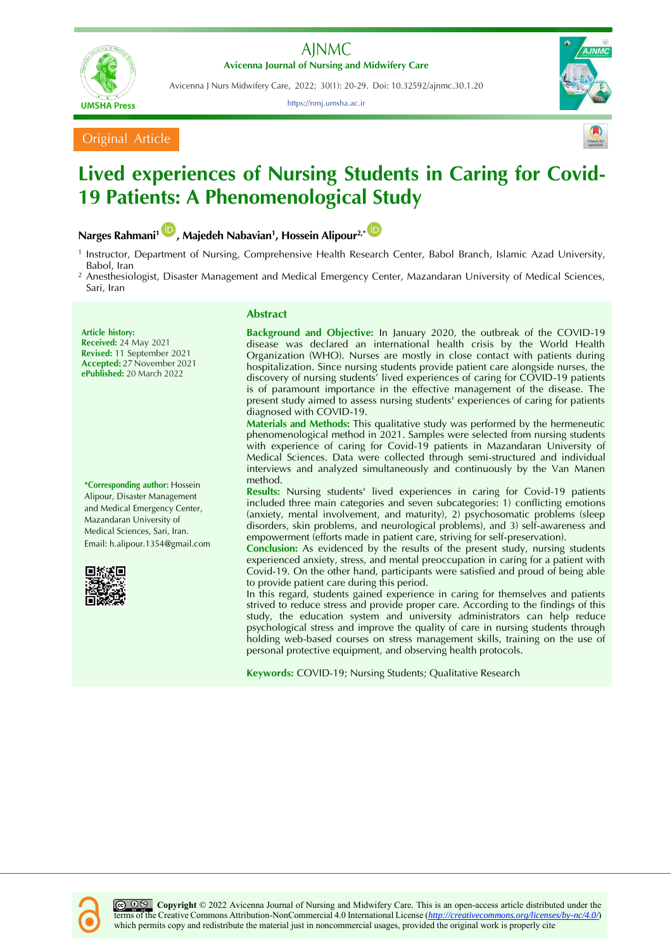



Avicenna J Nurs Midwifery Care, 2022; 30(1): 20-29. Doi: 10.32592/ajnmc.30.1.20

https://nmj.umsha.ac.ir



Original Article

# **Lived experiences of Nursing Students in Caring for Covid-19 Patients: A Phenomenological Study**

## **Narges Rahmani<sup>1</sup> , Majedeh Nabavian<sup>1</sup> , Hossein Alipour2,[\\*](http://orcid.org/0000-0003-3938-1667)**

- 1 Instructor, Department of Nursing, Comprehensive Health Research Center, Babol Branch, Islamic Azad University, Babol, Iran
- <sup>2</sup> Anesthesiologist, Disaster Management and Medical Emergency Center, Mazandaran University of Medical Sciences, Sari, Iran

#### **Article history: Received:** 24 May 2021 **Revised:** 11 September 2021 **Accepted:** 27 November 2021 **ePublished:** 20 March 2022

**\*Corresponding author:** Hossein Alipour, Disaster Management and Medical Emergency Center, Mazandaran University of Medical Sciences, Sari, Iran. Email: h.alipour.1354@gmail.com



## **Abstract**

**Background and Objective:** In January 2020, the outbreak of the COVID-19 disease was declared an international health crisis by the World Health Organization (WHO). Nurses are mostly in close contact with patients during hospitalization. Since nursing students provide patient care alongside nurses, the discovery of nursing students' lived experiences of caring for COVID-19 patients is of paramount importance in the effective management of the disease. The present study aimed to assess nursing students' experiences of caring for patients diagnosed with COVID-19.

**Materials and Methods:** This qualitative study was performed by the hermeneutic phenomenological method in 2021. Samples were selected from nursing students with experience of caring for Covid-19 patients in Mazandaran University of Medical Sciences. Data were collected through semi-structured and individual interviews and analyzed simultaneously and continuously by the Van Manen method.

**Results:** Nursing students' lived experiences in caring for Covid-19 patients included three main categories and seven subcategories: 1) conflicting emotions (anxiety, mental involvement, and maturity), 2) psychosomatic problems (sleep disorders, skin problems, and neurological problems), and 3) self-awareness and empowerment (efforts made in patient care, striving for self-preservation).

**Conclusion:** As evidenced by the results of the present study, nursing students experienced anxiety, stress, and mental preoccupation in caring for a patient with Covid-19. On the other hand, participants were satisfied and proud of being able to provide patient care during this period.

In this regard, students gained experience in caring for themselves and patients strived to reduce stress and provide proper care. According to the findings of this study, the education system and university administrators can help reduce psychological stress and improve the quality of care in nursing students through holding web-based courses on stress management skills, training on the use of personal protective equipment, and observing health protocols.

**Keywords:** COVID-19; Nursing Students; Qualitative Research

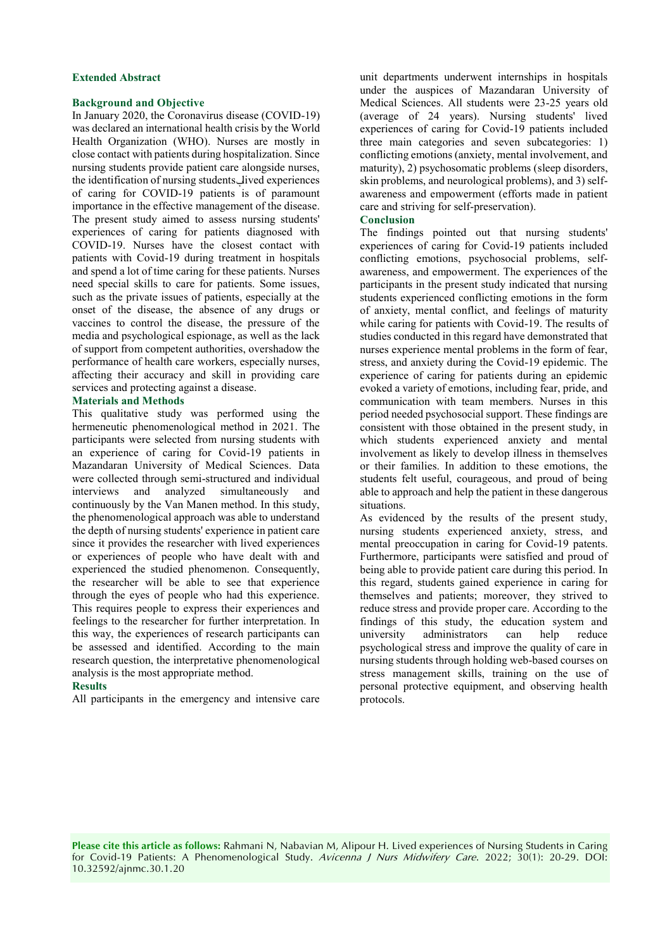#### **Extended Abstract**

#### **Background and Objective**

In January 2020, the Coronavirus disease (COVID-19) was declared an international health crisis by the World Health Organization (WHO). Nurses are mostly in close contact with patients during hospitalization. Since nursing students provide patient care alongside nurses, the identification of nursing students lived experiences of caring for COVID-19 patients is of paramount importance in the effective management of the disease. The present study aimed to assess nursing students' experiences of caring for patients diagnosed with COVID-19. Nurses have the closest contact with patients with Covid-19 during treatment in hospitals and spend a lot of time caring for these patients. Nurses need special skills to care for patients. Some issues, such as the private issues of patients, especially at the onset of the disease, the absence of any drugs or vaccines to control the disease, the pressure of the media and psychological espionage, as well as the lack of support from competent authorities, overshadow the performance of health care workers, especially nurses, affecting their accuracy and skill in providing care services and protecting against a disease.

#### **Materials and Methods**

This qualitative study was performed using the hermeneutic phenomenological method in 2021. The participants were selected from nursing students with an experience of caring for Covid-19 patients in Mazandaran University of Medical Sciences. Data were collected through semi-structured and individual interviews and analyzed simultaneously and continuously by the Van Manen method. In this study, the phenomenological approach was able to understand the depth of nursing students' experience in patient care since it provides the researcher with lived experiences or experiences of people who have dealt with and experienced the studied phenomenon. Consequently, the researcher will be able to see that experience through the eyes of people who had this experience. This requires people to express their experiences and feelings to the researcher for further interpretation. In this way, the experiences of research participants can be assessed and identified. According to the main research question, the interpretative phenomenological analysis is the most appropriate method.

#### **Results**

All participants in the emergency and intensive care

unit departments underwent internships in hospitals under the auspices of Mazandaran University of Medical Sciences. All students were 23-25 years old (average of 24 years). Nursing students' lived experiences of caring for Covid-19 patients included three main categories and seven subcategories: 1) conflicting emotions (anxiety, mental involvement, and maturity), 2) psychosomatic problems (sleep disorders, skin problems, and neurological problems), and 3) selfawareness and empowerment (efforts made in patient care and striving for self-preservation).

#### **Conclusion**

The findings pointed out that nursing students' experiences of caring for Covid-19 patients included conflicting emotions, psychosocial problems, selfawareness, and empowerment. The experiences of the participants in the present study indicated that nursing students experienced conflicting emotions in the form of anxiety, mental conflict, and feelings of maturity while caring for patients with Covid-19. The results of studies conducted in this regard have demonstrated that nurses experience mental problems in the form of fear, stress, and anxiety during the Covid-19 epidemic. The experience of caring for patients during an epidemic evoked a variety of emotions, including fear, pride, and communication with team members. Nurses in this period needed psychosocial support. These findings are consistent with those obtained in the present study, in which students experienced anxiety and mental involvement as likely to develop illness in themselves or their families. In addition to these emotions, the students felt useful, courageous, and proud of being able to approach and help the patient in these dangerous situations.

As evidenced by the results of the present study, nursing students experienced anxiety, stress, and mental preoccupation in caring for Covid-19 patents. Furthermore, participants were satisfied and proud of being able to provide patient care during this period. In this regard, students gained experience in caring for themselves and patients; moreover, they strived to reduce stress and provide proper care. According to the findings of this study, the education system and<br>university administrators can help reduce administrators can help reduce psychological stress and improve the quality of care in nursing students through holding web-based courses on stress management skills, training on the use of personal protective equipment, and observing health protocols.

**Please cite this article as follows:** Rahmani N, Nabavian M, Alipour H. Lived experiences of Nursing Students in Caring for Covid-19 Patients: A Phenomenological Study. Avicenna J Nurs Midwifery Care. 2022; 30(1): 20-29. DOI: 10.32592/ajnmc.30.1.20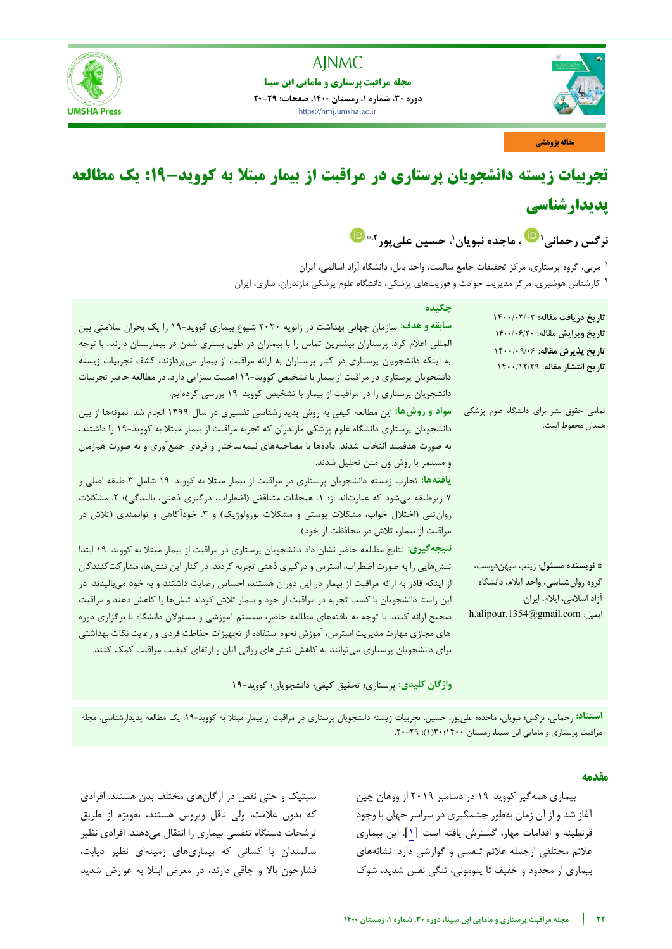



**مقاله پژوهشی**

# **تجربیات زیسته دانشجویان پرستاری در مراقبت از بیمار مبتلا به کووید-19: یک مطالعه پدیدارشناسی**

نرگس رحمانی' <sup>ک</sup> ، ماجده نبویان'، حسین علیbپور''<sup>\*</sup>

مربی، گروه پرستاری، مرکز تحقیقات جامع سالمت، واحد بابل، دانشگاه آزاد اسالمی، ایران <sup>1</sup> <sup>۲</sup> کارشناس هوشبری، مرکز مدیریت حوادث و فوریتهای پزشکی، دانشگاه علوم پزشکی مازندران، ساری، ایران

| چکیده<br>سابقه و هدف: سازمان جهانی بهداشت در ژانویه ۲۰۲۰ شیوع بیماری کووید-۱۹ را یک بحران سلامتی بین<br>المللی اعلام کرد. پرستاران بیشترین تماس را با بیماران در طول بستری شدن در بیمارستان دارند. با توجه<br>به اینکه دانشجویان پرستاری در کنار پرستاران به ارائه مراقبت از بیمار میپردازند، کشف تجربیات زیسته<br>دانشجویان پرستاری در مراقبت از بیمار با تشخیص کووید-۱۹ اهمیت بسزایی دارد. در مطالعه حاضر تجربیات<br>دانشجویان پرستاری را در مراقبت از بیمار با تشخیص کووید-۱۹ بررسی کردهایم.                                                                                                                                                                                                                     | تاريخ دريافت مقاله: ١٤٠٠/٠٣/٠٣<br>تاريخ ويرايش مقاله: ١٤٠٠/٠۶/٢٠<br>تاريخ پذيرش مقاله: ١۴٠٠/٠٩/٠<br>تاريخ انتشار مقاله: ١۴٠٠/١٢/٢٩                                                             |
|---------------------------------------------------------------------------------------------------------------------------------------------------------------------------------------------------------------------------------------------------------------------------------------------------------------------------------------------------------------------------------------------------------------------------------------------------------------------------------------------------------------------------------------------------------------------------------------------------------------------------------------------------------------------------------------------------------------------|------------------------------------------------------------------------------------------------------------------------------------------------------------------------------------------------|
| مواد و روشها: این مطالعه کیفی به روش پدیدارشناسی تفسیری در سال ۱۳۹۹ انجام شد. نمونهها از بین<br>دانشجویان پرستاری دانشگاه علوم پزشکی مازندران که تجربه مراقبت از بیمار مبتلا به کووید-۱۹ را داشتند،<br>به صورت هدفمند انتخاب شدند. دادهها با مصاحبههای نیمهساختار و فردی جمعآوری و به صورت همزمان<br>و مستمر با روش ون منن تحلیل شدند.<br>یافتهها: تجارب زیسته دانشجویان پرستاری در مراقبت از بیمار مبتلا به کووید-۱۹ شامل ۳ طبقه اصلی و<br>۷ زیرطبقه میشود که عبارتاند از: ۱. هیجانات متناقض (اضطراب، درگیری ذهنی، بالندگی)؛ ۲. مشکلات<br>روانتنی (اختلال خواب، مشکلات پوستی و مشکلات نورولوژیک) و ۳. خودآگاهی و توانمندی (تلاش در<br>مراقبت از بیمار، تلاش در محافظت از خود).                                     | تمامی حقوق نشر برای دانشگاه علوم پزشکی<br>همدان محفوظ است.                                                                                                                                     |
| نتیجهگیری: نتایج مطالعه حاضر نشان داد دانشجویان پرستاری در مراقبت از بیمار مبتلا به کووید-۱۹ ابتدا<br>تنش هایی را به صورت اضطراب، استرس و در گیری ذهنی تجربه کردند. در کنار این تنش ها، مشار کت کنندگان<br>از اینکه قادر به ارائه مراقبت از بیمار در این دوران هستند، احساس رضایت داشتند و به خود میبالیدند. در<br>این راستا دانشجویان با کسب تجربه در مراقبت از خود و بیمار تلاش کردند تنش۱ه را کاهش دهند و مراقبت<br>صحیح ارائه کنند. با توجه به یافتههای مطالعه حاضر، سیستم آموزشی و مسئولان دانشگاه با برگزاری دوره<br>های مجازی مهارت مدیریت استرس، آموزش نحوه استفاده از تجهیزات حفاظت فردی و رعایت نکات بهداشتی<br>برای دانشجویان پرستاری میتوانند به کاهش تنشهای روانی آنان و ارتقای کیفیت مراقبت کمک کنند. | * نويسنده مسئول: زينب ميهندوست،<br>گروه روانشناسي، واحد ايلام، دانشگاه<br>آزاد اسلامي، ايلام، ايران.<br>$\label{eq:1354} \text{h.alipour.} \text{1354} @ \text{gmail.com} \\ \text{gmail.com}$ |

**واژگان کلیدی:** پرستاری؛ تحقیق کیفی؛ دانشجویان؛ کووید19-

استن**اد**: رحمانی، نرگس؛ نبویان، ماجده؛ علیپور، حسین. تجربیات زیسته دانشجویان پرستاری در مراقبت از بیمار مبتلا به کووید-۱۹- یک مطالعه پدیدارشناسی. مجله مراقبت پرستاری و مامایی ابن سینا، زمستان ١۴٠٠١٢٠٠١(١): ٢٩-٢٠.

## **مقدمه**

بیماری همه گیر کووید-۱۹ در دسامبر ۲۰۱۹ از ووهان چین آغاز شد و از آن زمان بهطور چشمگیری در سراسر جهان با وجود قرنطینه و اقدامات مهار، گسترش یافته است [۱]. این بیماری عالئم مختلفی ازجمله عالئم تنفسی و گوارشی دارد. نشانههای بیماری از محدود و خفیف تا پنومونی، تنگی نفس شدید، شوک

سپتیک و حتی نقص در ارگان های مختلف بدن هستند. افرادی که بدون علامت، ولی ناقل ویروس هستند، بهویژه از طریق ترشحات دستگاه تنفسی بیماری را انتقال می دهند. افرادی نظیر سالمندان یا کسانی که بیماریهای زمینهای نظیر دیابت، فشارخون بالا و چاقی دارند، در معرض ابتلا به عوارض شدید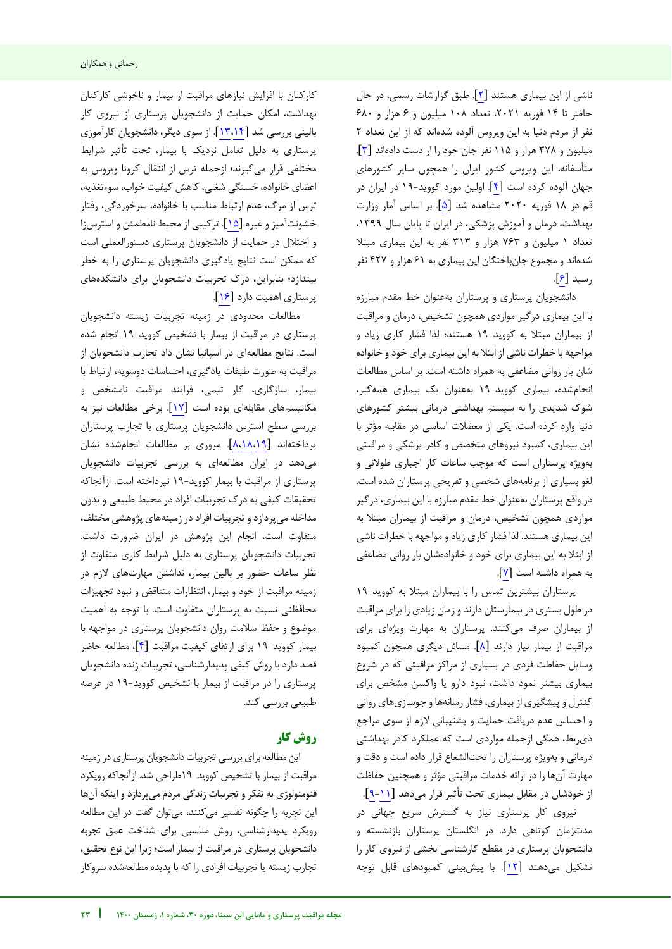ناشی از این بیماری هستند [۲]. طبق گزارشات رسمی، در حال حاضر تا ۱۴ فوریه ۲۰۲۱، تعداد ۱۰۸ میلیون و ۶ هزار و ۶۸۰ نفر از مردم دنیا به این ویروس آلوده شدهاند که از این تعداد 2 میلیون و 378 هزار و 115 نفر جان خود را از دست دادهاند [3]. متأسفانه، این ویروس کشور ایران را همچون سایر کشورهای جهان آلوده کرده است [۴]. اولین مورد کووید-۱۹ در ایران در قم در 1۸ فوریه ۲۰۲۰ مشاهده شد [۵]. بر اساس آمار وزارت بهداشت، درمان و آموزش پزشکی، در ایران تا پایان سال ،1399 تعداد 1 میلیون و 763 هزار و 313 نفر به این بیماری مبتال شدهاند و مجموع جانباختگان این بیماری به 61 هزار و 427 نفر رسید [6].

دانشجویان پرستاری و پرستاران بهعنوان خط مقدم مبارزه با این بیماری درگیر مواردی همچون تشخیص، درمان و مراقبت از بیماران مبتلا به کووید-۱۹ هستند؛ لذا فشار کاری زیاد و مواجهه با خطرات ناشی از ابتال به این بیماری برای خود و خانواده شان بار روانی مضاعفی به همراه داشته است. بر اساس مطالعات انجامشده، بیماری کووید19- بهعنوان یک بیماری همهگیر، شوک شدیدی را به سیستم بهداشتی درمانی بیشتر کشورهای دنیا وارد کرده است. یکی از معضالت اساسی در مقابله مؤثر با این بیماری، کمبود نیروهای متخصص و کادر پزشکی و مراقبتی بهویژه پرستاران است که موجب ساعات کار اجباری طوالنی و لغو بسیاری از برنامههای شخصی و تفریحی پرستاران شده است. در واقع پرستاران بهعنوان خط مقدم مبارزه با این بیماری، درگیر مواردی همچون تشخیص، درمان و مراقبت از بیماران مبتال به این بیماری هستند. لذا فشار کاری زیاد و مواجهه با خطرات ناشی از ابتال به این بیماری برای خود و خانوادهشان بار روانی مضاعفی به همراه داشته است [7].

پرستاران بیشترین تماس را با بیماران مبتلا به کووید-١٩ در طول بستری در بیمارستان دارند و زمان زیادی را برای مراقبت از بیماران صرف میکنند. پرستاران به مهارت ویژهای برای مراقبت از بیمار نیاز دارند [۸]. مسائل دیگری همچون کمبود وسایل حفاظت فردی در بسیاری از مراکز مراقبتی که در شروع بیماری بیشتر نمود داشت، نبود دارو یا واکسن مشخص برای کنترل و پیشگیری از بیماری، فشار رسانهها و جوسازیهای روانی و احساس عدم دریافت حمایت و پشتیبانی الزم از سوی مراجع ذیربط، همگی ازجمله مواردی است که عملکرد کادر بهداشتی درمانی و بهویژه پرستاران را تحتالشعاع قرار داده است و دقت و مهارت آنها را در ارائه خدمات مراقبتی مؤثر و همچنین حفاظت از خودشان در مقابل بیماری تحت تأثیر قرار میدهد [[9](#page-8-0)[-11](#page-9-0)].

نیروی کار پرستاری نیاز به گسترش سریع جهانی در مدتزمان کوتاهی دارد. در انگلستان پرستاران بازنشسته و دانشجویان پرستاری در مقطع کارشناسی بخشی از نیروی کار را تشکیل میدهند [1۲]. با پیش بینی کمبودهای قابل توجه

j

کارکنان با افزایش نیازهای مراقبت از بیمار و ناخوشی کارکنان بهداشت، امکان حمایت از دانشجویان پرستاری از نیروی کار شد بررسی بالینی [[13](#page-9-2)[،14](#page-9-1)]. از سوی دیگر، دانشجویان کارآموزی پرستاری به دلیل تعامل نزدیک با بیمار، تحت تأثیر شرایط مختلفی قرار میگیرند؛ ازجمله ترس از انتقال کرونا ویروس به اعضای خانواده، خستگی شغلی،کاهش کیفیت خواب، سوءتغذیه، ترس از مرگ، عدم ارتباط مناسب با خانواده، سرخوردگی، رفتار خشونتآمیز و غیره [۱۵]. ترکیبی از محیط نامطمئن و استرسiا و اختالل در حمایت از دانشجویان پرستاری دستورالعملی است که ممکن است نتایج یادگیری دانشجویان پرستاری را به خطر بیندازد؛ بنابراین، درک تجربیات دانشجویان برای دانشکدههای پرستاری اهمیت دارد [16].

مطالعات محدودی در زمینه تجربیات زیسته دانشجویان یپرستار در مراقبت از بیمار با تشخیص کووید19- انجام شده است. نتایج مطالعهای در اسپانیا نشان داد تجارب دانشجویان از مراقبت به صورت طبقات یادگیری، احساسات دوسویه، ارتباط با بیمار، سازگاری، کار تیمی، فرایند مراقبت نامشخص و مکانیسمهای مقابلهای بوده است [17]. برخی مطالعات نیز به بررسی سطح استرس دانشجویان پرستاری یا تجارب پرستاران پرداختهاند [[8](#page-8-1)[،18](#page-9-4)[،19](#page-9-3)]. مروری بر مطالعات انجامشده نشان میدهد در ایران مطالعهای به بررسی تجربیات دانشجویان پرستاری از مراقبت با بیمار کووید19- نپرداخته است. ازآنجاکه تحقیقات کیفی به درک تجربیات افراد در محیط طبیعی و بدون مداخله میپردازد و تجربیات افراد در زمینههای پژوهشی مختلف، متفاوت است، انجام این پژوهش در ایران ضرورت داشت. تجربیات دانشجویان پرستاری به دلیل شرایط کاری متفاوت از نظر ساعات حضور بر بالین بیمار، نداشتن مهارتهای الزم در زمینه مراقبت از خود و بیمار، انتظارات متناقض و نبود تجهیزات محافظتی نسبت به پرستاران متفاوت است. با توجه به اهمیت موضوع و حفظ سالمت روان دانشجویان پرستاری در مواجهه با بیمار کووید19- برای ارتقای کیفیت مراقبت [4]، مطالعه حاضر قصد دارد با روش کیفی پدیدارشناسی، تجربیات زنده دانشجویان پرستاری را در مراقبت از بیمار با تشخیص کووید19- در عرصه طبیعی بررسی کند.

## **کار روش**

این مطالعه برای بررسی تجربیات دانشجویان پرستاری در زمینه مراقبت از بیمار با تشخیص کووید19-طراحی شد. ازآنجاکه رویکرد فنومنولوژی به تفکر و تجربیات زندگی مردم میپردازد و اینکه آنها این تجربه را چگونه تفسیر میکنند، میتوان گفت در این مطالعه رویکرد پدیدارشناسی، روش مناسبی برای شناخت عمق تجربه دانشجویان پرستاری در مراقبت از بیمار است؛ زیرا این نوع تحقیق، تجارب زیسته یا تجربیات افرادی را که با پدیده مطالعهشده سروکار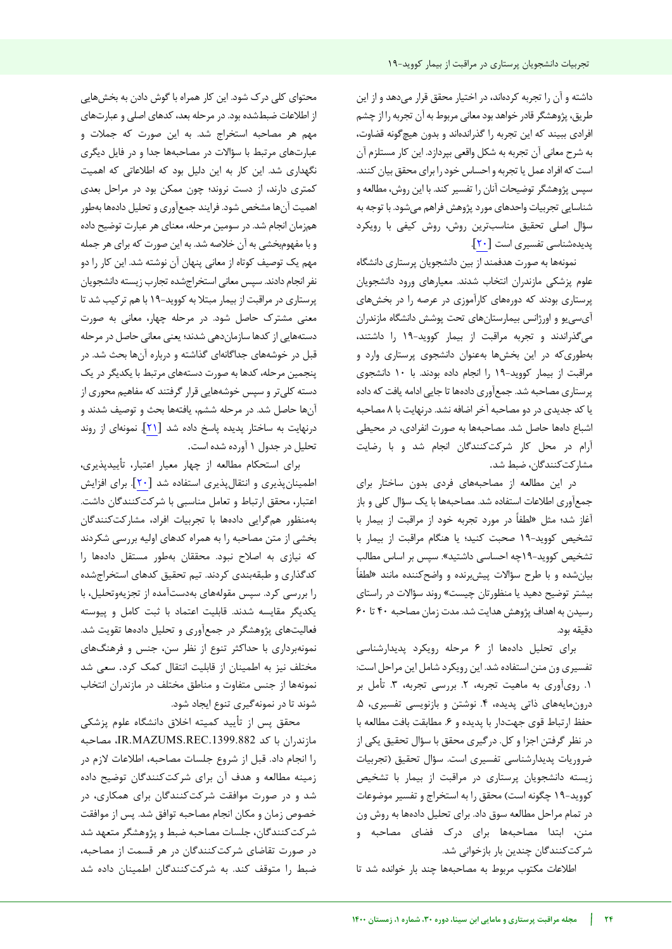داشته و آن را تجربه کردهاند، در اختیار محقق قرار میدهد و از این طریق، پژوهشگر قادر خواهد بود معانی مربوط به آن تجربه را از چشم افرادی ببیند که این تجربه را گذراندهاند و بدون هیچ گونه قضاوت، به شرح معانی آن تجربه به شکل واقعی بپردازد. این کار مستلزم آن است که افراد عمل یا تجربه و احساس خود را برای محقق بیان کنند. سپس پژوهشگر توضیحات آنان را تفسیر کند. با این روش، مطالعه و شناسایی تجربیات واحدهای مورد پژوهش فراهم میشود. با توجه به سؤال اصلی تحقیق مناسبترین روش، روش کیفی با رویکرد پدیدهشناسی تفسیری است [20].

نمونهها به صورت هدفمند از بین دانشجویان پرستاری دانشگاه علوم پزشکی مازندران انتخاب شدند. معیارهای ورود دانشجویان پرستاری بودند که دورههای کارآموزی در عرصه را در بخشهای آیسییو و اورژانس بیمارستانهای تحت پوشش دانشگاه مازندران میگذراندند و تجربه مراقبت از بیمار کووید-۱۹ را داشتند، بهطوریکه در این بخشها بهعنوان دانشجوی پرستاری وارد و مراقبت از بیمار کووید19- را انجام داده بودند. با 10 دانشجوی پرستاری مصاحبه شد. جمعآوری دادهها تا جایی ادامه یافت که داده یاکد جدیدی در دو مصاحبه آخر اضافه نشد. درنهایت با 8 مصاحبه اشباع داهها حاصل شد. مصاحبهها به صورت انفرادی، در محیطی آرام در محل کار شرکتکنندگان انجام شد و با رضایت مشارکتکنندگان، ضبط شد.

در این مطالعه از مصاحبههای فردی بدون ساختار برای جمع آوری اطلاعات استفاده شد. مصاحبهها با یک سؤال کلی و باز آغاز شد؛ مثل «لطفاً در مورد تجربه خود از مراقبت از بیمار با تشخیص کووید19- صحبت کنید؛ یا هنگام مراقبت از بیمار با تشخیص کووید19-چه احساسی داشتید«. سپس بر اساس مطالب بیانشده و با طرح سؤاالت پیشبرنده و واضحکننده مانند »لط فا بیشتر توضیح دهید یا منظورتان چیست« روند سؤاالت در راستای رسیدن به اهداف پژوهش هدایت شد. مدت زمان مصاحبه 40 تا 60 دقیقه بود.

برای تحلیل دادهها از ۶ مرحله رویکرد پدیدارشناسی تفسیری ون منن استفاده شد. این رویکرد شامل این مراحل است: .1 رویآوری به ماهیت تجربه، .2 بررسی تجربه، .3 تأمل بر درونمایههای ذاتی پدیده، ۴. نوشتن و بازنویسی تفسیری، ۵. حفظ ارتباط قوی جهتدار با پدیده و ۶. مطابقت بافت مطالعه با در نظر گرفتن اجزا و کل. درگیری محقق با سؤال تحقیق یکی از ضروریات پدیدارشناسی تفسیری است. سؤال تحقیق )تجربیات زیسته دانشجویان پرستاری در مراقبت از بیمار با تشخیص کووید-۱۹ چگونه است) محقق را به استخراج و تفسیر موضوعات در تمام مراحل مطالعه سوق داد. برای تحلیل دادهها به روش ون منن، ابتدا مصاحبهها برای درک فضای مصاحبه و شرکتکنندگان چندین بار بازخوانی شد.

اطلاعات مکتوب مربوط به مصاحبهها چند بار خوانده شد تا

محتوای کلی درک شود. این کار همراه با گوش دادن به بخشهایی از اطلاعات ضبطشده بود. در مرحله بعد، کدهای اصلی و عبارتهای مهم هر مصاحبه استخراج شد. به این صورت که جملات و عبارتهای مرتبط با سؤالات در مصاحبهها جدا و در فایل دیگری نگهداری شد. این کار به این دلیل بود که اطلاعاتی که اهمیت کمتری دارند، از دست نروند؛ چون ممکن بود در مراحل بعدی اهمیت آنها مشخص شود. فرایند جمع آوری و تحلیل دادهها بهطور همزمان انجام شد. در سومین مرحله، معنای هر عبارت توضیح داده و با مفهوم بخشی به آن خلاصه شد. به این صورت که برای هر جمله مهم یک توصیف کوتاه از معانی پنهان آن نوشته شد. این کار را دو نفر انجام دادند. سیس معانی استخراجشده تجارب زیسته دانشجویان پرستاری در مراقبت از بیمار مبتال به کووید19- با هم ترکیب شد تا معنی مشترک حاصل شود. در مرحله چهار، معانی به صورت دستههایی ازکدها سازماندهی شدند؛ یعنی معانی حاصل در مرحله قبل در خوشههای جداگانهای گذاشته و درباره آنها بحث شد. در پنجمین مرحله، کدها به صورت دستههای مرتبط با یکدیگر در یک دسته کلیتر و سپس خوشههایی قرار گرفتند که مفاهیم محوری از آنها حاصل شد. در مرحله ششم، یافتهها بحث و توصیف شدند و درنهایت به ساختار پدیده پاسخ داده شد [21]. نمونهای از روند تحلیل در جدول 1 آورده شده است.

برای استحکام مطالعه از چهار معیار اعتبار، تأییدپذیری، اطمینان پذیری و انتقال پذیری استفاده شد [۲۰]. برای افزایش اعتبار، محقق ارتباط و تعامل مناسبی با شرکتکنندگان داشت. بهمنظور همگرایی دادهها با تجربیات افراد، مشارکتکنندگان بخشی از متن مصاحبه را به همراه کدهای اولیه بررسی شکردند که نیازی به اصالح نبود. محققان بهطور مستقل دادهها را کدگذاری و طبقهبندی کردند. تیم تحقیق کدهای استخراجشده را بررسی کرد. سپس مقولههای بهدستآمده از تجزیهوتحلیل، با یکدیگر مقایسه شدند. قابلیت اعتماد با ثبت کامل و پیوسته فعالیتهای پژوهشگر در جمعآوری و تحلیل دادهها تقویت شد. نمونهبرداری با حداکثر تنوع از نظر سن، جنس و فرهنگهای مختلف نیز به اطمینان از قابلیت انتقال کمک کرد. سعی شد نمونهها از جنس متفاوت و مناطق مختلف در مازندران انتخاب شوند تا در نمونهگیری تنوع ایجاد شود.

محقق پس از تأیید کمیته اخلاق دانشگاه علوم پزشکی مازندران با کد .1399.882REC.MAZUMS.IR، مصاحبه را انجام داد. قبل از شروع جلسات مصاحبه، اطالعات الزم در زمینه مطالعه و هدف آن برای شرکتکنندگان توضیح داده شد و در صورت موافقت شرکتکنندگان برای همکاری، در خصوص زمان و مکان انجام مصاحبه توافق شد. پس از موافقت شرکتکنندگان، جلسات مصاحبه ضبط و پژوهشگر متعهد شد در صورت تقاضای شرکتکنندگان در هر قسمت از مصاحبه، ضبط را متوقف کند. به شرکتکنندگان اطمینان داده شد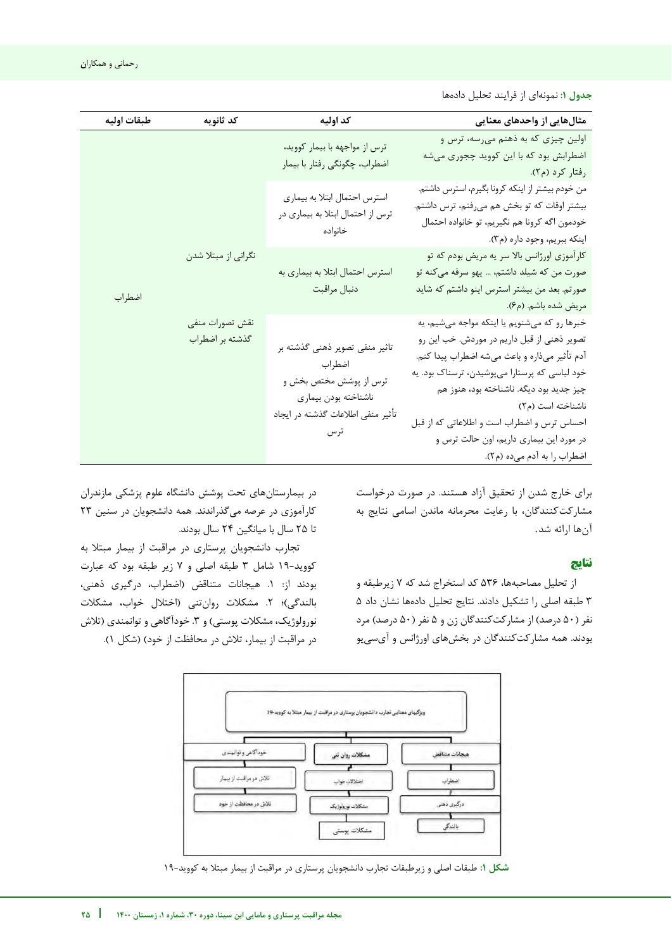**جدول :1** نمونهای از فرایند تحلیل دادهها

| طبقات اوليه | كد ثانويه                                                                   | كد اوليه                                                                                                                                                                         | مثالهایی از واحدهای معنایی                                                                                                                                                                                                                                                                                                                                                               |
|-------------|-----------------------------------------------------------------------------|----------------------------------------------------------------------------------------------------------------------------------------------------------------------------------|------------------------------------------------------------------------------------------------------------------------------------------------------------------------------------------------------------------------------------------------------------------------------------------------------------------------------------------------------------------------------------------|
|             |                                                                             | ترس از مواجهه با بیمار کووید،<br>اضطراب، چگونگی رفتار با بیمار                                                                                                                   | اولین چیزی که به ذهنم میرسه، ترس و<br>اضطرابش بود که با این کووید چجوری میشه<br>رفتار کرد (م۲).                                                                                                                                                                                                                                                                                          |
|             | استرس احتمال ابتلا به بيماري<br>ترس از احتمال ابتلا به بیماری در<br>خانواده | من خودم بیشتر از اینکه کرونا بگیرم، استرس داشتم.<br>بیشتر اوقات که تو بخش هم میرفتم، ترس داشتم.<br>خودمون اگه كرونا هم نگيريم، تو خانواده احتمال<br>اينكه ببريم، وجود داره (م٣). |                                                                                                                                                                                                                                                                                                                                                                                          |
| اضطراب      | نگرانی از مبتلا شدن                                                         | استرس احتمال ابتلا به بیماری به<br>دنبال مراقبت                                                                                                                                  | کارآموزی اورژانس بالا سر یه مریض بودم که تو<br>صورت من که شیلد داشتم، … یهو سرفه میکنه تو<br>صورتم. بعد من بیشتر استرس اینو داشتم که شاید<br>مريض شده باشم. (م۶).                                                                                                                                                                                                                        |
|             | نقش تصورات منفى<br>گذشته بر اضطراب                                          | تاثیر منفی تصویر ذهنی گذشته بر<br>اضطراب<br>ترس از پوشش مختص بخش و<br>ناشناخته بودن بيماري<br>تأثير منفى اطلاعات گذشته در ايجاد                                                  | خبرها رو که میشنویم یا اینکه مواجه میشیم، یه<br>تصویر ذهنی از قبل داریم در موردش. خب این رو<br>آدم تأثیر میذاره و باعث میشه اضطراب پیدا کنم.<br>خود لباسی که پرستارا میپوشیدن، ترسناک بود. یه<br>چيز جديد بود ديگه. ناشناخته بود، هنوز هم<br>ناشناخته است (م۲)<br>احساس ترس و اضطراب است و اطلاعاتی که از قبل<br>در مورد این بیماری داریم، اون حالت ترس و<br>اضطراب را به آدم میده (م۲). |

برای خارج شدن از تحقیق آزاد هستند. در صورت درخواست مشارکت کنندگان، با رعایت محرمانه ماندن اسامی نتایج به آنها ارائه شد.

## **نتایج**

j

از تحلیل مصاحبهها، 536 کد استخراج شد که 7 زیرطبقه و 3 طبقه اصلی را تشکیل دادند. نتایج تحلیل دادهها نشان داد 5 نفر (۵۰ درصد) از مشارکتکنندگان زن و ۵ نفر (۵۰ درصد) مرد بودند. همه مشارکتکنندگان در بخشهای اورژانس و آیسییو

بیمارستاندر های تحت پوشش دانشگاه علوم پزشکی مازندران کارآموزی در عرصه می گذراندند. همه دانشجویان در سنین 23 تا 25 سال با میانگین 24 سال بودند.

تجارب دانشجویان پرستاری در مراقبت از بیمار مبتال به -کووید 19 شامل 3 طبقه اصلی و 7 زیر طبقه بود که عبارت بودند از: .1 هیجانات متناقض )اضطراب، درگیری ذهنی، بالندگی)؛ ۲. مشکلات روانتنی (اختلال خواب، مشکلات نورولوژیک، مشکلات پوستی) و ۳. خودآگاهی و توانمندی (تلاش در مراقبت از بیمار، تلاش در محافظت از خود) (شکل ۱).



**شکل :1** طبقات اصلی و زیرطبقات تجارب دانشجویان پرستاری در مراقبت از بیمار مبتال به کووید19-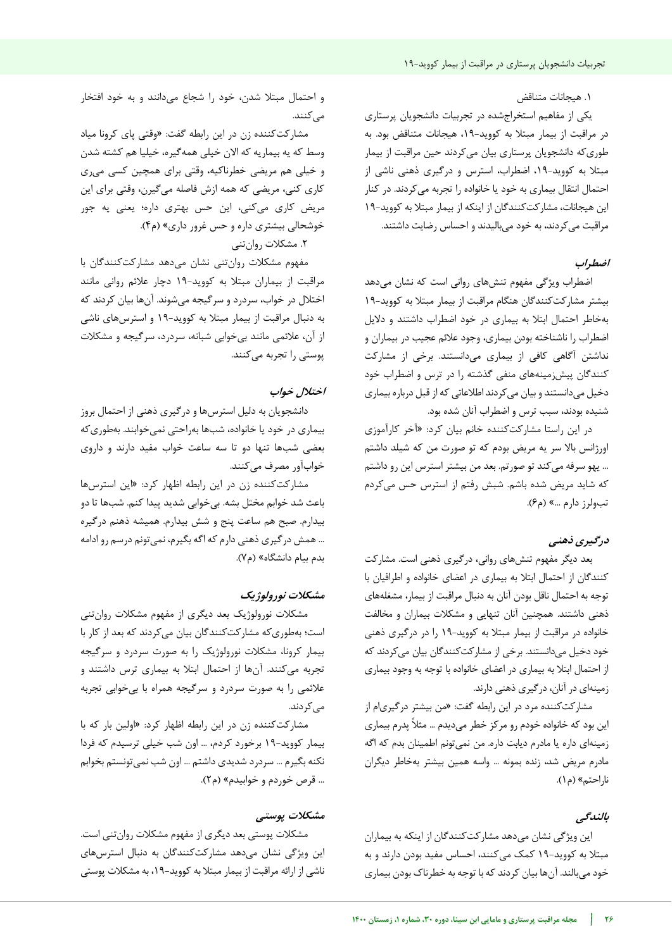## .1 هیجانات متناقض

یکی از مفاهیم استخراجشده در تجربیات دانشجویان پرستاری در مراقبت از بیمار مبتلا به کووید-۱۹، هیجانات متناقض بود. به طوریکه دانشجویان پرستاری بیان میکردند حین مراقبت از بیمار مبتال به کووید،19- اضطراب، استرس و درگیری ذهنی ناشی از احتمال انتقال بیماری به خود یا خانواده را تجربه میکردند. در کنار این هیجانات، مشارکتکنندگان از اینکه از بیمار مبتال به کووید19- مراقبت میکردند، به خود میبالیدند و احساس رضایت داشتند.

## **اضطراب**

اضطراب ویژگی مفهوم تنشهای روانی است که نشان میدهد مشارکت بیشتر کنندگان هنگام مراقبت از بیمار مبتال به کووید19- بهخاطر احتمال ابتال به بیماری در خود اضطراب داشتند و دالیل اضطراب را ناشناخته بودن بیماری، وجود عالئم عجیب در بیماران و نداشتن آگاهی کافی از بیماری میدانستند. برخی از مشارکت کنندگان پیشزمینههای منفی گذشته را در ترس و اضطراب خود دخیل میدانستند و بیان میکردند اطالعاتی که از قبل درباره بیماری شنیده بودند، سبب ترس و اضطراب آنان شده بود.

در این راستا مشارکتکننده خانم بیان کرد: »آخر کارآموزی اورژانس بالا سر یه مریض بودم که تو صورت من که شیلد داشتم ... یهو سرفه می کند تو صورتم. بعد من بیشتر استرس این رو داشتم که شاید مریض شده باشم. شبش رفتم از استرس حس می کردم تب ولرز دارم ...» (م۶).

## **درگیری ذهنی**

بعد دیگر مفهوم تنشهای روانی، درگیری ذهنی است. مشارکت کنندگان از احتمال ابتلا به بیماری در اعضای خانواده و اطرافیان با توجه به احتمال ناقل بودن آنان به دنبال مراقبت از بیمار، مشغلههای ذهنی داشتند. همچنین آنان تنهایی و مشکلات بیماران و مخالفت خانواده در مراقبت از بیمار مبتلا به کووید-۱۹ را در درگیری ذهنی خود دخیل میدانستند. برخی از مشارکتکنندگان بیان میکردند که از احتمال ابتال به بیماری در اعضای خانواده با توجه به وجود بیماری زمینهای در آنان، درگیری ذهنی دارند.

مشارکتکننده مرد در این رابطه گفت: «من بیشتر درگیری|م از این بود که خانواده خودم رو مرکز خطر میدیدم … مثلاً پدرم بیماری زمینهای داره یا مادرم دیابت داره. من نمیتونم اطمینان بدم که اگه مادرم مریض شد، زنده بمونه ... واسه همین بیشتر بهخاطر دیگران ناراحتم« )م1(.

## **بالندگی**

این ویژگی نشان میدهد مشارکتکنندگان از اینکه به بیماران -مبتال به کووید 19 کمک میکنند، احساس مفید بودن دارند و به خود میبالند. آنها بیان کردند که با توجه به خطرناک بودن بیماری

و احتمال مبتال شدن، خود را شجاع میدانند و به خود افتخار مے کنند.

مشارکتکننده زن در این رابطه گفت: «وقتی پای کرونا میاد وسط که یه بیماریه که الان خیلی همهگیره، خیلیا هم کشته شدن و خیلی هم مریضی خطرناکیه، وقتی برای همچین کسی میری کاری کنی، مریضی که همه ازش فاصله میگیرن، وقتی برای این مریض کاری می کنی، این حس بهتری داره؛ یعنی یه جور بیشتری خوشحالی داره و حس غرور داری« )م4(.

.2 مشکالت روانتنی

مفهوم مشکالت روانتنی نشان میدهد مشارکتکنندگان با مراقبت از بیماران مبتال به کووید19- دچار عالئم روانی مانند اختالل در خواب، سردرد و سرگیجه میشوند. آنها بیان کردند که به دنبال مراقبت از بیمار مبتال به کووید19- و استرسهای ناشی از آن، عالئمی مانند بیخوابی شبانه، سردرد، سرگیجه و مشکالت پوستی را تجربه میکنند.

## **خواب اختالل**

دانشجویان به دلیل استرسها و درگیری ذهنی از احتمال بروز بیماری در خود یا خانواده، شبها بهراحتی نمیخوابند. بهطوری که بعضی شبها تنها دو تا سه ساعت خواب مفید دارند و داروی خوابآور مصرف میکنند.

مشارکتکننده زن در این رابطه اظهار کرد: «این استرس ها باعث شد خوابم مختل بشه. بیخوابی شدید پیدا کنم. شبها تا دو بیدارم. صبح هم ساعت پنج و شش بیدارم. همیشه ذهنم درگیره ... همش در گیری ذهنی دارم که اگه بگیرم، نمی تونم درسم رو ادامه بدم بیام دانشگاه» (م٧).

## **نورولوژیک مشکالت**

مشکالت نورولوژیک بعد دیگری از مفهوم مشکالت روانتنی است؛ به طوری که مشارکت کنندگان بیان میکردند که بعد از کار با بیمار کرونا، مشکالت نورولوژیک را به صورت سردرد و سرگیجه تجربه میکنند. آنها از احتمال ابتال به بیماری ترس داشتند و عالئمی را به صورت سردرد و سرگیجه همراه با بیخوابی تجربه میکردند.

مشارکتکننده زن در این رابطه اظهار کرد: «اولین بار که با -کووید بیمار 19 برخورد کردم، ... اون شب خیلی ترسیدم که فردا نکنه بگیرم ... سردرد شدیدی داشتم ... اون شب نمیتونستم بخوابم ... قرص خوردم و خوابیدم» (م۲).

## **مشکالت پوستی**

مشکلات پوستی بعد دیگری از مفهوم مشکلات روانتنی است. این ویژگی نشان میدهد مشارکتکنندگان به دنبال استرس های ناشی از ارائه مراقبت از بیمار مبتال به کووید،19- به مشکالت پوستی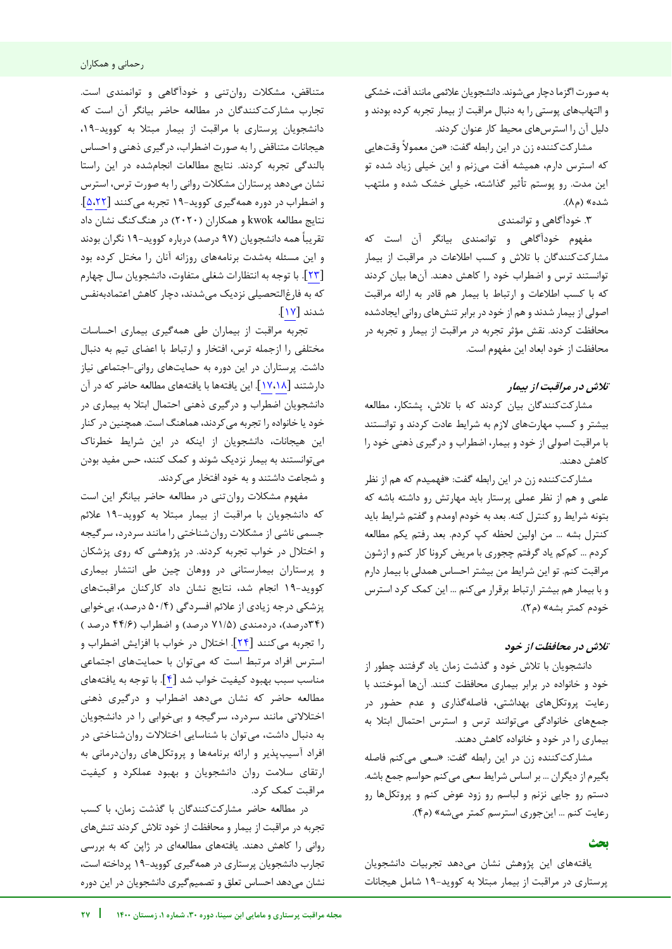به صورت اگزما دچار میشوند. دانشجویان عالئمی مانند آفت، خشکی و التهابهای پوستی را به دنبال مراقبت از بیمار تجربه کرده بودند و دلیل آن را استرسهای محیط کار عنوان کردند.

مشارکتکننده زن در این رابطه گفت: » من معموال وقتهایی که استرس دارم، همیشه آفت میزنم و این خیلی زیاد شده تو این مدت. رو پوستم تأثیر گذاشته، خیلی خشک شده و ملتهب شده» (م۸).

.3 خودآگاهی و توانمندی

مفهوم خودآگاهی و توانمندی بیانگر آن است که مشارکتکنندگان با تالش و کسب اطالعات در مراقبت از بیمار توانستند ترس و اضطراب خود را کاهش دهند. آنها بیان کردند که با کسب اطالعات و ارتباط با بیمار هم قادر به ارائه مراقب ت اصولی از بیمار شدند و هم از خود در برابر تنشهای روانی ایجادشده محافظت کردند. نقش مؤثر تجربه در مراقبت از بیمار و تجربه در محافظت از خود ابعاد این مفهوم است.

## **تالش در مراقبت از بیمار**

مشارکتکنندگان بیان کردند که با تالش، پشتکار، مطالعه بیشتر و کسب مهارتهای الزم به شرایط عادت کردند و توانستند با مراقبت اصولی از خود و بیمار، اضطراب و درگیری ذهنی خود را کاهش دهند.

مشارکتکننده زن در این رابطه گفت: «فهمیدم که هم از نظر علمی و هم از نظر عملی پرستار باید مهارتش رو داشته باشه که بتونه شرایط رو کنترل کنه. بعد به خودم اومدم و گفتم شرایط باید كنترل بشه … من اولین لحظه كپ كردم. بعد رفتم يكم مطالعه کردم ... کم کم یاد گرفتم چجوری با مریض کرونا کار کنم و ازشون مراقبت کنم. تو این شرایط من بیشتر احساس همدلی با بیمار دارم و با بیمار هم بیشتر ارتباط برقرار میکنم ... این کمک کرد استرس خودم کمتر بشه» (م۲).

## **تالش در محافظت از خود**

دانشجویان با تالش خود و گذشت زمان یاد گرفتند چطور از خود و خانواده در برابر بیماری محافظت کنند. آنها آموختند با رعایت پروتکلهای بهداشتی، فاصلهگذاری و عدم حضور در جمعهای خانوادگی میتوانند ترس و استرس احتمال ابتال به بیماری را در خود و خانواده کاهش دهند.

مشارکتکننده زن در این رابطه گفت: «سعی میکنم فاصله بگیرم از دیگران ... بر اساس شرایط سعی میکنم حواسم جمع باشه. دستم رو جایی نزنم و لباسم رو زود عوض کنم و پروتکلها رو رعایت کنم ... این جوری استرسم کمتر می شه» (م۴).

## **بحث**

j

یافتههای این پژوهش نشان میدهد تجربیات دانشجویان پرستاری در مراقبت از بیمار مبتال به کووید19- شامل هیجانات

متناقض، مشکلات روان تنی و خودآگاهی و توانمندی است. تجارب مشارکتکنندگان در مطالعه حاضر بیانگر آن است که دانشجویان پرستاری با مراقبت از بیمار مبتال به کووید،19- هیجانات متناقض را به صورت اضطراب، درگیری ذهنی و احساس بالندگی تجربه کردند. نتایج مطالعات انجامشده در این راستا نشان میدهد پرستاران مشکالت روانی را به صورت ترس، استرس و اضطراب در دوره همهگیری کووید19- تجربه میکنند [[5](#page-8-2)[،22](#page-9-5)]. نتایج مطالعه kwok و همکاران )2020( در هنگکنگ نشان داد تقریباً همه دانشجویان (۹۷ درصد) درباره کووید-۱۹ نگران بودند و این مسئله بهشدت برنامههای روزانه آنان را مختل کرده بود [23]. با توجه به انتظارات شغلی متفاوت، دانشجویان سال چهارم که به فارغالتحصیلی نزدیک میشدند، دچار کاهش اعتمادبهنفس شدند [17] .

تجربه مراقبت از بیماران طی همهگیری بیماری احساسات مختلفی را ازجمله ترس، افتخار و ارتباط با اعضای تیم به دنبال داشت. پرستاران در این دوره به حمایتهای روانی-اجتماعی نیاز دارشتند [[17،](#page-9-6)[18](#page-9-4)]. این یافتهها با یافتههای مطالعه حاضر که در آن دانشجویان اضطراب و درگیری ذهنی احتمال ابتال به بیماری در خود یا خانواده را تجربه میکردند، هماهنگ است. همچنین در کنار این هیجانات، دانشجویان از اینکه در این شرایط خطرناک میتوانستند به بیمار نزدیک شوند و کمک کنند، حس مفید بودن و شجاعت داشتند و به خود افتخار میکردند.

مفهوم مشکالت روانتنی در مطالعه حاضر بیانگر این است که دانشجویان با مراقبت از بیمار مبتال به کووید19- عالئم جسمی ناشی از مشکالت روانشناختی را مانند سردرد، سرگیجه و اختالل در خواب تجربه کردند. در پژوهشی که روی پزشکان و پرستاران بیمارستانی در ووهان چین طی انتشار بیماری کووید19- انجام شد، نتایج نشان داد کارکنان مراقبتهای پزشکی درجه زیادی از علائم افسردگی (۵۰/۴ درصد)، بیخوابی (۳۴درصد)، دردمندی (۷۱/۵ درصد) و اضطراب (۴۴/۶ درصد) را تجربه میکنند [۲۴]. اختلال در خواب با افزایش اضطراب و استرس افراد مرتبط است که میتوان با حمایتهای اجتماعی مناسب سبب بهبود کیفیت خواب شد [4]. با توجه به یافتههای مطالعه حاضر که نشان میدهد اضطراب و درگیری ذهنی اختالالتی مانند سردرد، سرگیجه و بیخوابی را در دانشجویان به دنبال داشت، میتوان با شناسایی اختالالت روانشناختی در افراد آسیبپذیر و ارائه برنامهها و پروتکلهای رواندرمانی به ارتقای سالمت روان دانشجویان و بهبود عملکرد و کیفیت مراقبت کمک کرد.

در مطالعه حاضر مشارکتکنندگان با گذشت زمان، با کسب تجربه در مراقبت از بیمار و محافظت از خود تالش کردند تنشهای روانی را کاهش دهند. یافتههای مطالعهای در ژاپن که به بررسی تجارب دانشجویان پرستاری در همهگیری کووید-۱۹ پرداخته است، نشان میدهد احساس تعلق و تصمیمگیری دانشجویان در این دوره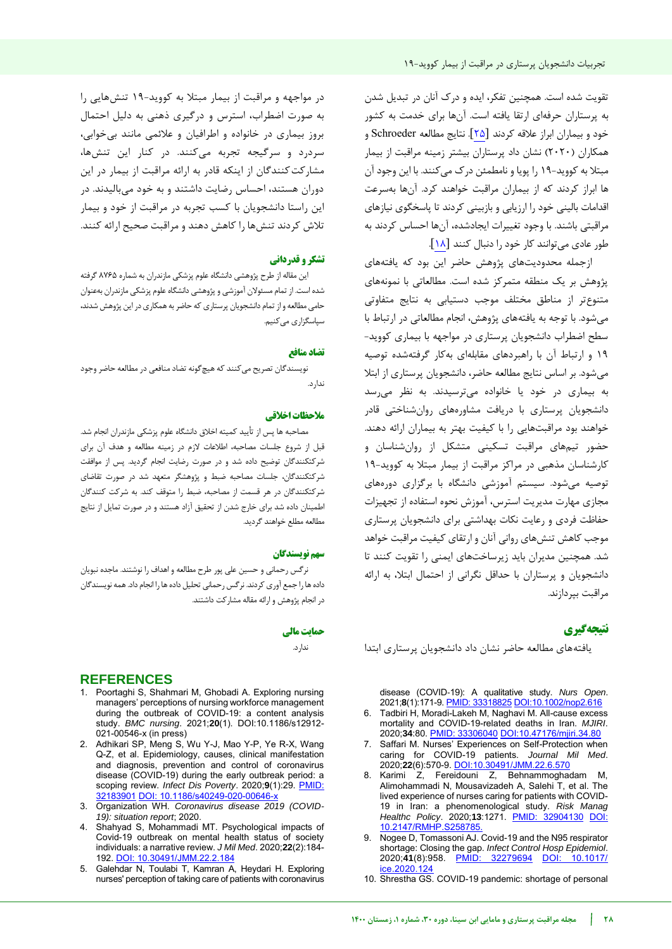تقویت شده است. همچنین تفکر، ایده و درک آنان در تبدیل شدن به پرستاران حرفهای ارتقا یافته است. آنها برای خدمت به کشور خود و بیماران ابراز عالقه کردند [25]. نتایج مطالعه Schroeder و همکاران )2020( نشان داد پرستاران بیشتر زمینه مراقبت از بیمار مبتال به کووید19- را پویا و نامطمئن درک میکنند. با این وجود آن ها ابراز کردند که از بیماران مراقبت خواهند کرد. آنها بهسرعت اقدامات بالینی خود را ارزیابی و بازبینی کردند تا پاسخگوی نیازهای مراقبتی باشند. با وجود تغییرات ایجادشده، آنها احساس کردند به طور عادی میتوانند کار خود را دنبال کنند [18].

ازجمله محدودیتهای پژوهش حاضر این بود که یافتههای پژوهش بر یک منطقه متمرکز شده است. مطالعاتی با نمونه های متنوعتر از مناطق مختلف موجب دستیابی به نتایج متفاوتی میشود. با توجه به یافتههای پژوهش، انجام مطالعاتی در ارتباط با سطح اضطراب دانشجویان پرستاری در مواجهه با بیماری کووید- 19 و ارتباط آن با راهبردهای مقابلهای بهکار گرفتهشده توصیه میشود. بر اساس نتایج مطالعه حاضر، دانشجویان پرستاری از ابتال به بیماری در خود یا خانواده میترسیدند. به نظر میرسد دانشجویان پرستاری با دریافت مشاورههای روانشناختی قادر خواهند بود مراقبتهایی را با کیفیت بهتر به بیماران ارائه دهند. حضور تیمهای مراقبت تسکینی متشکل از روانشناسان و کارشناسان مذهبی در مراکز مراقبت از بیمار مبتال به کووید19- توصیه میشود. سیستم آموزشی دانشگاه با برگزاری دورههای مجازی مهارت مدیریت استرس، آموزش نحوه استفاده از تجهیزات حفاظت فردی و رعایت نکات بهداشتی برای دانشجویان پرستاری موجب کاهش تنشهای روانی آنان و ارتقای کیفیت مراقبت خواهد شد. همچنین مدیران باید زیرساختهای ایمنی را تقویت کنند تا دانشجویان و پرستاران با حداقل نگرانی از احتمال ابتال، به ارائه مراقبت بپردازند.

## **نتیجهگیری**

یافتههای مطالعه حاضر نشان داد دانشجویان پرستاری ابتدا

disease (COVID‐19): A qualitative study. *Nurs Open*. 2021;**8**(1):171-9[. PMID: 33318825](https://pubmed.ncbi.nlm.nih.gov/33318825/) [DOI:10.1002/nop2.616](https://doi.org/10.1002/nop2.616)

- 6. Tadbiri H, Moradi-Lakeh M, Naghavi M. All-cause excess mortality and COVID-19-related deaths in Iran. *MJIRI*. 2020;**34**:80. [PMID: 33306040](https://pubmed.ncbi.nlm.nih.gov/33306040/) [DOI:10.47176/mjiri.34.80](https://doi.org/10.34171/mjiri.34.80)
- 7. Saffari M. Nurses' Experiences on Self-Protection when caring for COVID-19 patients. *Journal Mil Med*. 2020;**22**(6):570-9[. DOI:10.30491/JMM.22.6.570](http://dx.doi.org/10.30491/JMM.22.6.570)
- <span id="page-8-1"></span>8. Karimi Z, Fereidouni Z, Behnammoghadam M, Alimohammadi N, Mousavizadeh A, Salehi T, et al. The lived experience of nurses caring for patients with COVID-19 in Iran: a phenomenological study. *Risk Manag Healthc Policy.* 2020;13:1271. PMID: 10.2147/RMHP.S25878
- <span id="page-8-0"></span>9. Nogee D, Tomassoni AJ. Covid-19 and the N95 respirator shortage: Closing the gap. *Infect Control Hosp Epidemiol.*<br>2020:41(8):958. PMID: 32279694 DOI: 10.1017/ 2020;**41**(8):958. [PMID: 32279694](https://pubmed.ncbi.nlm.nih.gov/32279694/) [DOI: 10.1017/](https://doi.org/10.1017/ice.2020.124)  [ice.2020.124](https://doi.org/10.1017/ice.2020.124)
- 10. Shrestha GS. COVID-19 pandemic: shortage of personal

در مواجهه و مراقبت از بیمار مبتلا به کووید-۱۹ تنش هایی را به صورت اضطراب، استرس و درگیری ذهنی به دلیل احتمال بروز بیماری در خانواده و اطرافیان و عالئمی مانند بیخوابی، سردرد و سرگیجه تجربه میکنند. در کنار این تنشها، مشارکتکنندگان از اینکه قادر به ارائه مراقبت از بیمار در این دوران هستند، احساس رضایت داشتند و به خود میبالیدند. در این راستا دانشجویان با کسب تجربه در مراقبت از خود و بیمار تالش کردند تنشها را کاهش دهند و مراقبت صحیح ارائه کنند.

#### **تشکر و قدردانی**

این مقاله از طرح پژوهشی دانشگاه علوم پزشکی مازندران به شماره 8765 گرفته شده است. از تمام مسئوالن آموزشی و پژوهشی دانشگاه علوم پزشکی مازندران بهعنوان حامی مطالعه و از تمام دانشجویان پرستاری که حاضر به همکاری در این پژوهش شدند، سپاسگزاری میکنیم.

#### **منافع تضاد**

نویسندگان تصریح می کنند که هیچ گونه تضاد منافعی در مطالعه حاضر وجود .ندارد

## **یاخالق مالحظات**

مصاحبه ها پس از تأیید کمیته اخلاق دانشگاه علوم پزشکی مازندران انجام شد. قبل از شروع جلسات مصاحبه، اطالعات الزم در زمینه مطالعه و هدف آن برای شرکتکنندگان توضیح داده شد و در صورت رضایت انجام گردید. پس از موافقت شرکتکنندگان، جلسات مصاحبه ضبط و پژوهشگر متعهد شد در صورت تقاضای شرکتکنندگان در هر قسمت از مصاحبه، ضبط را متوقف کند. به شرکت کنندگان اطمینان داده شد برای خارج شدن از تحقیق آزاد هستند و در صورت تمایل از نتایج مطالعه مطلع خواهند گردید.

#### **سهم نو سندگانی**

نرگس رحمانی و حسین علی پور طرح مطالعه و اهداف را نوشتند. ماجده نبویان داده ها را جمع آوری کردند. نرگس رحمانی تحلیل داده ها را انجام داد.همه نویسندگان در انجام پژوهش و ارائه مقاله مشارکت داشتند.

#### **حمایت مالی**

ندارد.

## **REFERENCES**

- 1. Poortaghi S, Shahmari M, Ghobadi A. Exploring nursing managers' perceptions of nursing workforce management during the outbreak of COVID-19: a content analysis study. *BMC nursing*. 2021;**20**(1). DOI:10.1186/s12912- 021-00546-x (in press)
- 2. Adhikari SP, Meng S, Wu Y-J, Mao Y-P, Ye R-X, Wang Q-Z, et al. Epidemiology, causes, clinical manifestation and diagnosis, prevention and control of coronavirus disease (COVID-19) during the early outbreak period: a scoping review. *Infect Dis Poverty*. 2020;**9**(1):29. [PMID:](https://pubmed.ncbi.nlm.nih.gov/32183901/)  [32183901](https://pubmed.ncbi.nlm.nih.gov/32183901/) DOI: 10.1186/s40249-020-0064
- 3. Organization WH. *Coronavirus disease 2019 (COVID-19): situation report*; 2020.
- 4. Shahyad S, Mohammadi MT. Psychological impacts of Covid-19 outbreak on mental health status of society individuals: a narrative review. *J Mil Med*. 2020;**22**(2):184- 192. [DOI: 10.30491/JMM.22.2.184](http://dx.doi.org/10.30491/JMM.22.2.184)
- <span id="page-8-2"></span>5. Galehdar N, Toulabi T, Kamran A, Heydari H. Exploring nurses' perception of taking care of patients with coronavirus